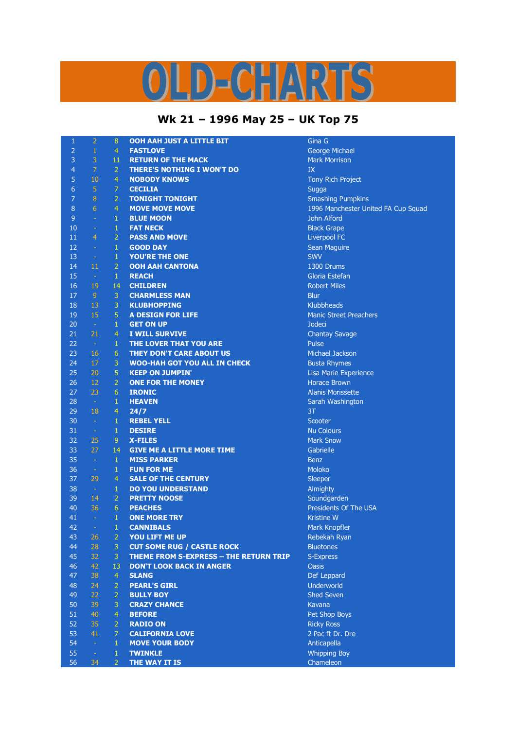## D-CHARTS

## **Wk 21 – 1996 May 25 – UK Top 75**

| $\mathbf{1}$     | $\overline{2}$  | 8              | OOH AAH JUST A LITTLE BIT                     | Gina G                                       |
|------------------|-----------------|----------------|-----------------------------------------------|----------------------------------------------|
| $\overline{2}$   | $\mathbf{1}$    | $\overline{4}$ | <b>FASTLOVE</b>                               | George Michael                               |
| 3                | 3               | 11             | <b>RETURN OF THE MACK</b>                     | <b>Mark Morrison</b>                         |
| 4                | $\overline{7}$  | $\overline{2}$ | <b>THERE'S NOTHING I WON'T DO</b>             | <b>JX</b>                                    |
| 5                | 10              | $\overline{4}$ | <b>NOBODY KNOWS</b>                           | Tony Rich Project                            |
| 6                | 5               | $\overline{7}$ | <b>CECILIA</b>                                | Sugga                                        |
| $\overline{7}$   | $\bf 8$         | $\overline{2}$ | <b>TONIGHT TONIGHT</b>                        | <b>Smashing Pumpkins</b>                     |
| $\boldsymbol{8}$ | $6\phantom{1}6$ | $\overline{4}$ | <b>MOVE MOVE MOVE</b>                         | 1996 Manchester United FA Cup Squad          |
| 9                | $\sim$          | $\mathbf{1}$   | <b>BLUE MOON</b>                              | John Alford                                  |
| 10               | $\rightarrow$   | $\mathbf{1}$   | <b>FAT NECK</b>                               | <b>Black Grape</b>                           |
| 11               | $\overline{4}$  | $\overline{2}$ | <b>PASS AND MOVE</b>                          | Liverpool FC                                 |
| 12               | $\rightarrow$   | $\mathbf{1}$   | <b>GOOD DAY</b>                               | Sean Maguire                                 |
| 13               | $\equiv$        | $\mathbf{1}$   | <b>YOU'RE THE ONE</b>                         | <b>SWV</b>                                   |
| 14               | 11              | $\overline{2}$ | <b>OOH AAH CANTONA</b>                        | 1300 Drums                                   |
| 15               | $\sim$          | $\mathbf{1}$   | <b>REACH</b>                                  | Gloria Estefan                               |
| 16               | 19              | 14             | <b>CHILDREN</b>                               | <b>Robert Miles</b>                          |
| 17               | $\overline{9}$  | $\overline{3}$ | <b>CHARMLESS MAN</b>                          | <b>Blur</b>                                  |
| 18               | 13              | 3              | <b>KLUBHOPPING</b>                            | <b>Klubbheads</b>                            |
| 19               | 15              | 5              | <b>A DESIGN FOR LIFE</b>                      | <b>Manic Street Preachers</b>                |
| 20               | $\sim$          | $\mathbf{1}$   | <b>GET ON UP</b>                              | <b>Jodeci</b>                                |
| 21               | 21              | $\overline{4}$ | <b>I WILL SURVIVE</b>                         | <b>Chantay Savage</b>                        |
| 22               | $\sim$          | $\mathbf{1}$   | THE LOVER THAT YOU ARE                        | Pulse                                        |
| 23               | <b>16</b>       | $6\phantom{1}$ | <b>THEY DON'T CARE ABOUT US</b>               | Michael Jackson                              |
| 24               | 17              | 3              | <b>WOO-HAH GOT YOU ALL IN CHECK</b>           |                                              |
| 25               | 20              | 5              |                                               | <b>Busta Rhymes</b>                          |
| 26               | 12              | $\overline{2}$ | <b>KEEP ON JUMPIN'</b>                        | Lisa Marie Experience<br><b>Horace Brown</b> |
|                  |                 |                | <b>ONE FOR THE MONEY</b>                      |                                              |
| 27               | 23              | 6              | <b>IRONIC</b>                                 | <b>Alanis Morissette</b>                     |
| 28               | $\sim$          | $\mathbf{1}$   | <b>HEAVEN</b>                                 | Sarah Washington                             |
| 29               | 18              | $\overline{4}$ | 24/7                                          | 3T                                           |
| 30               | $\sim$          | $\mathbf{1}$   | <b>REBEL YELL</b>                             | Scooter                                      |
| 31               | $\rightarrow$   | $\mathbf{1}$   | <b>DESIRE</b>                                 | <b>Nu Colours</b>                            |
| 32               | 25              | 9              | <b>X-FILES</b>                                | <b>Mark Snow</b>                             |
| 33               | 27              | 14             | <b>GIVE ME A LITTLE MORE TIME</b>             | Gabrielle                                    |
| 35               | $\sim$          | $\mathbf{1}$   | <b>MISS PARKER</b>                            | <b>Benz</b>                                  |
| 36               | $\equiv$        | $\mathbf{1}$   | <b>FUN FOR ME</b>                             | <b>Moloko</b>                                |
| 37               | 29              | $\overline{4}$ | <b>SALE OF THE CENTURY</b>                    | <b>Sleeper</b>                               |
| 38               | $\pm$           | $\mathbf{1}$   | <b>DO YOU UNDERSTAND</b>                      | Almighty                                     |
| 39               | 14              | $\overline{2}$ | <b>PRETTY NOOSE</b>                           | Soundgarden                                  |
| 40               | 36              | 6              | <b>PEACHES</b>                                | <b>Presidents Of The USA</b>                 |
| 41               | $\sim$          | $\mathbf{1}$   | <b>ONE MORE TRY</b>                           | <b>Kristine W</b>                            |
| 42               | $\equiv$        | 1              | <b>CANNIBALS</b>                              | Mark Knopfler                                |
| 43               | 26              | $\overline{2}$ | YOU LIFT ME UP                                | Rebekah Ryan                                 |
| 44               | 28              | $\mathbf{3}$   | <b>CUT SOME RUG / CASTLE ROCK</b>             | <b>Bluetones</b>                             |
| 45               | 32              | $\overline{3}$ | <b>THEME FROM S-EXPRESS - THE RETURN TRIP</b> | S-Express                                    |
| 46               | 42              | 13             | <b>DON'T LOOK BACK IN ANGER</b>               | <b>Oasis</b>                                 |
| 47               | 38              | $\overline{4}$ | <b>SLANG</b>                                  | Def Leppard                                  |
| 48               | 24              | $\overline{2}$ | <b>PEARL'S GIRL</b>                           | <b>Underworld</b>                            |
| 49               | 22              | $\overline{2}$ | <b>BULLY BOY</b>                              | <b>Shed Seven</b>                            |
| 50               | 39              | 3              | <b>CRAZY CHANCE</b>                           | Kavana                                       |
| 51               | 40              | $\overline{4}$ | <b>BEFORE</b>                                 | Pet Shop Boys                                |
| 52               | 35              | $\overline{2}$ | <b>RADIO ON</b>                               | <b>Ricky Ross</b>                            |
| 53               | 41              | $\mathcal{I}$  | <b>CALIFORNIA LOVE</b>                        | 2 Pac ft Dr. Dre                             |
| 54               | $\rightarrow$   | $\mathbf{1}$   | <b>MOVE YOUR BODY</b>                         | Anticapella                                  |
| 55               | $\equiv$        | $\mathbf{1}$   | <b>TWINKLE</b>                                | <b>Whipping Boy</b>                          |
| 56               | 34              | $\overline{2}$ | THE WAY IT IS                                 | Chameleon                                    |